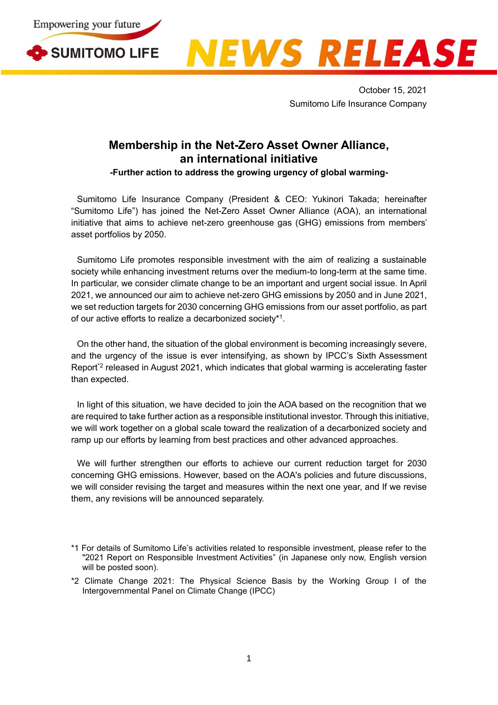



October 15, 2021 Sumitomo Life Insurance Company

## **Membership in the Net-Zero Asset Owner Alliance, an international initiative**

**-Further action to address the growing urgency of global warming-**

Sumitomo Life Insurance Company (President & CEO: Yukinori Takada; hereinafter "Sumitomo Life") has joined the Net-Zero Asset Owner Alliance (AOA), an international initiative that aims to achieve net-zero greenhouse gas (GHG) emissions from members' asset portfolios by 2050.

Sumitomo Life promotes responsible investment with the aim of realizing a sustainable society while enhancing investment returns over the medium-to long-term at the same time. In particular, we consider climate change to be an important and urgent social issue. In April 2021, we announced our aim to achieve net-zero GHG emissions by 2050 and in June 2021, we set reduction targets for 2030 concerning GHG emissions from our asset portfolio, as part of our active efforts to realize a decarbonized society\*<sup>1</sup>.

On the other hand, the situation of the global environment is becoming increasingly severe, and the urgency of the issue is ever intensifying, as shown by IPCC's Sixth Assessment Report<sup>\*2</sup> released in August 2021, which indicates that global warming is accelerating faster than expected.

In light of this situation, we have decided to join the AOA based on the recognition that we are required to take further action as a responsible institutional investor. Through this initiative, we will work together on a global scale toward the realization of a decarbonized society and ramp up our efforts by learning from best practices and other advanced approaches.

We will further strengthen our efforts to achieve our current reduction target for 2030 concerning GHG emissions. However, based on the AOA's policies and future discussions, we will consider revising the target and measures within the next one year, and If we revise them, any revisions will be announced separately.

\*2 Climate Change 2021: The Physical Science Basis by the Working Group I of the Intergovernmental Panel on Climate Change (IPCC)

<sup>\*1</sup> For details of Sumitomo Life's activities related to responsible investment, please refer to the "2021 Report on Responsible Investment Activities" (in Japanese only now, English version will be posted soon).